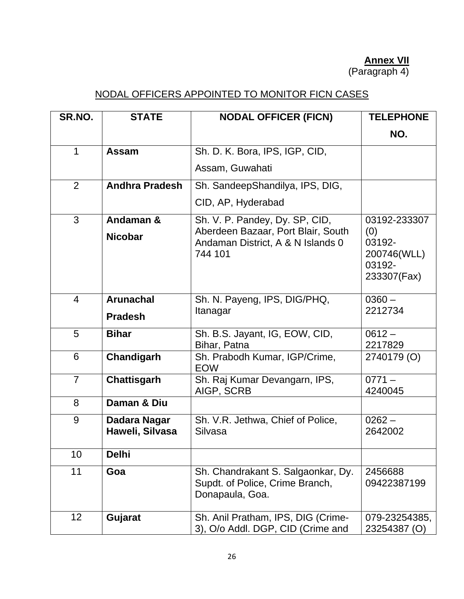## **Annex VII**

(Paragraph 4)

## NODAL OFFICERS APPOINTED TO MONITOR FICN CASES

| SR.NO.          | <b>STATE</b>                    | <b>NODAL OFFICER (FICN)</b>                                                              | <b>TELEPHONE</b>                                      |
|-----------------|---------------------------------|------------------------------------------------------------------------------------------|-------------------------------------------------------|
|                 |                                 |                                                                                          | NO.                                                   |
| 1               | Assam                           | Sh. D. K. Bora, IPS, IGP, CID,                                                           |                                                       |
|                 |                                 | Assam, Guwahati                                                                          |                                                       |
| 2               | <b>Andhra Pradesh</b>           | Sh. SandeepShandilya, IPS, DIG,                                                          |                                                       |
|                 |                                 | CID, AP, Hyderabad                                                                       |                                                       |
| 3               | Andaman &                       | Sh. V. P. Pandey, Dy. SP, CID,                                                           | 03192-233307                                          |
|                 | <b>Nicobar</b>                  | Aberdeen Bazaar, Port Blair, South<br>Andaman District, A & N Islands 0<br>744 101       | (0)<br>03192-<br>200746(WLL)<br>03192-<br>233307(Fax) |
| $\overline{4}$  | <b>Arunachal</b>                | Sh. N. Payeng, IPS, DIG/PHQ,                                                             | $0360 -$                                              |
|                 | <b>Pradesh</b>                  | Itanagar                                                                                 | 2212734                                               |
| 5               | <b>Bihar</b>                    | Sh. B.S. Jayant, IG, EOW, CID,<br>Bihar, Patna                                           | $0612 -$<br>2217829                                   |
| 6               | Chandigarh                      | Sh. Prabodh Kumar, IGP/Crime,<br><b>EOW</b>                                              | 2740179 (O)                                           |
| $\overline{7}$  | <b>Chattisgarh</b>              | Sh. Raj Kumar Devangarn, IPS,<br>AIGP, SCRB                                              | $0771 -$<br>4240045                                   |
| 8               | Daman & Diu                     |                                                                                          |                                                       |
| 9               | Dadara Nagar<br>Haweli, Silvasa | Sh. V.R. Jethwa, Chief of Police,<br>Silvasa                                             | $0262 -$<br>2642002                                   |
| 10              | <b>Delhi</b>                    |                                                                                          |                                                       |
| 11              | Goa                             | Sh. Chandrakant S. Salgaonkar, Dy.<br>Supdt. of Police, Crime Branch,<br>Donapaula, Goa. | 2456688<br>09422387199                                |
| 12 <sub>2</sub> | Gujarat                         | Sh. Anil Pratham, IPS, DIG (Crime-<br>3), O/o Addl. DGP, CID (Crime and                  | 079-23254385,<br>23254387 (O)                         |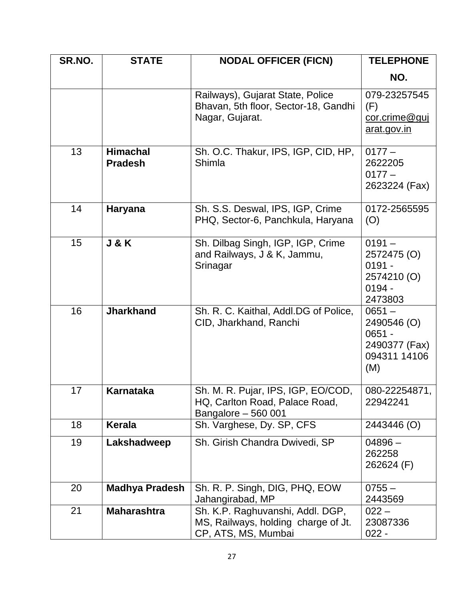| SR.NO. | <b>STATE</b>                      | <b>NODAL OFFICER (FICN)</b>                                                                    | <b>TELEPHONE</b>                                                            |
|--------|-----------------------------------|------------------------------------------------------------------------------------------------|-----------------------------------------------------------------------------|
|        |                                   |                                                                                                | NO.                                                                         |
|        |                                   | Railways), Gujarat State, Police<br>Bhavan, 5th floor, Sector-18, Gandhi<br>Nagar, Gujarat.    | 079-23257545<br>(F)<br>cor.crime@guj<br>arat.gov.in                         |
| 13     | <b>Himachal</b><br><b>Pradesh</b> | Sh. O.C. Thakur, IPS, IGP, CID, HP,<br>Shimla                                                  | $0177 -$<br>2622205<br>$0177 -$<br>2623224 (Fax)                            |
| 14     | <b>Haryana</b>                    | Sh. S.S. Deswal, IPS, IGP, Crime<br>PHQ, Sector-6, Panchkula, Haryana                          | 0172-2565595<br>(O)                                                         |
| 15     | <b>J &amp; K</b>                  | Sh. Dilbag Singh, IGP, IGP, Crime<br>and Railways, J & K, Jammu,<br>Srinagar                   | $0191 -$<br>2572475 (O)<br>$0191 -$<br>2574210 (O)<br>$0194 -$<br>2473803   |
| 16     | <b>Jharkhand</b>                  | Sh. R. C. Kaithal, Addl.DG of Police,<br>CID, Jharkhand, Ranchi                                | $0651 -$<br>2490546 (O)<br>$0651 -$<br>2490377 (Fax)<br>094311 14106<br>(M) |
| 17     | <b>Karnataka</b>                  | Sh. M. R. Pujar, IPS, IGP, EO/COD,<br>HQ, Carlton Road, Palace Road,<br>Bangalore - 560 001    | 080-22254871,<br>22942241                                                   |
| 18     | <b>Kerala</b>                     | Sh. Varghese, Dy. SP, CFS                                                                      | 2443446 (O)                                                                 |
| 19     | Lakshadweep                       | Sh. Girish Chandra Dwivedi, SP                                                                 | $04896 -$<br>262258<br>262624 (F)                                           |
| 20     | <b>Madhya Pradesh</b>             | Sh. R. P. Singh, DIG, PHQ, EOW<br>Jahangirabad, MP                                             | $0755 -$<br>2443569                                                         |
| 21     | <b>Maharashtra</b>                | Sh. K.P. Raghuvanshi, Addl. DGP,<br>MS, Railways, holding charge of Jt.<br>CP, ATS, MS, Mumbai | $022 -$<br>23087336<br>$022 -$                                              |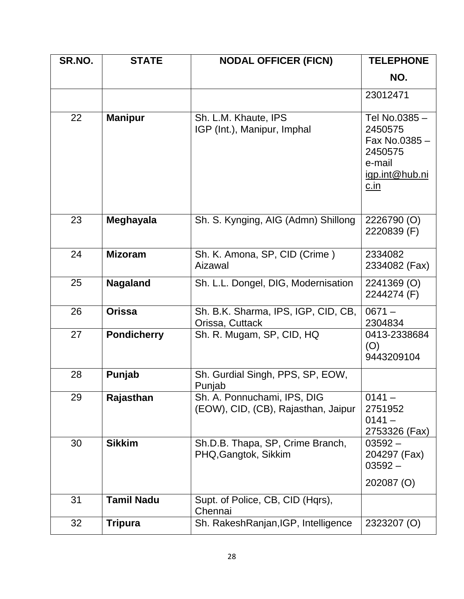| SR.NO. | <b>STATE</b>       | <b>NODAL OFFICER (FICN)</b>                                        | <b>TELEPHONE</b>                                                                               |
|--------|--------------------|--------------------------------------------------------------------|------------------------------------------------------------------------------------------------|
|        |                    |                                                                    | NO.                                                                                            |
|        |                    |                                                                    | 23012471                                                                                       |
| 22     | <b>Manipur</b>     | Sh. L.M. Khaute, IPS<br>IGP (Int.), Manipur, Imphal                | Tel No.0385-<br>2450575<br>Fax No.0385 -<br>2450575<br>e-mail<br>igp.int@hub.ni<br><u>c.in</u> |
| 23     | Meghayala          | Sh. S. Kynging, AIG (Admn) Shillong                                | 2226790 (O)<br>2220839 (F)                                                                     |
| 24     | <b>Mizoram</b>     | Sh. K. Amona, SP, CID (Crime)<br>Aizawal                           | 2334082<br>2334082 (Fax)                                                                       |
| 25     | <b>Nagaland</b>    | Sh. L.L. Dongel, DIG, Modernisation                                | 2241369 (O)<br>2244274 (F)                                                                     |
| 26     | <b>Orissa</b>      | Sh. B.K. Sharma, IPS, IGP, CID, CB,<br>Orissa, Cuttack             | $0671 -$<br>2304834                                                                            |
| 27     | <b>Pondicherry</b> | Sh. R. Mugam, SP, CID, HQ                                          | 0413-2338684<br>(O)<br>9443209104                                                              |
| 28     | Punjab             | Sh. Gurdial Singh, PPS, SP, EOW,<br>Punjab                         |                                                                                                |
| 29     | Rajasthan          | Sh. A. Ponnuchami, IPS, DIG<br>(EOW), CID, (CB), Rajasthan, Jaipur | $0141 -$<br>2751952<br>$0141 -$<br>2753326 (Fax)                                               |
| 30     | <b>Sikkim</b>      | Sh.D.B. Thapa, SP, Crime Branch,<br>PHQ, Gangtok, Sikkim           | $03592 -$<br>204297 (Fax)<br>$03592 -$<br>202087 (O)                                           |
| 31     | <b>Tamil Nadu</b>  | Supt. of Police, CB, CID (Hqrs),<br>Chennai                        |                                                                                                |
| 32     | <b>Tripura</b>     | Sh. RakeshRanjan, IGP, Intelligence                                | 2323207 (O)                                                                                    |